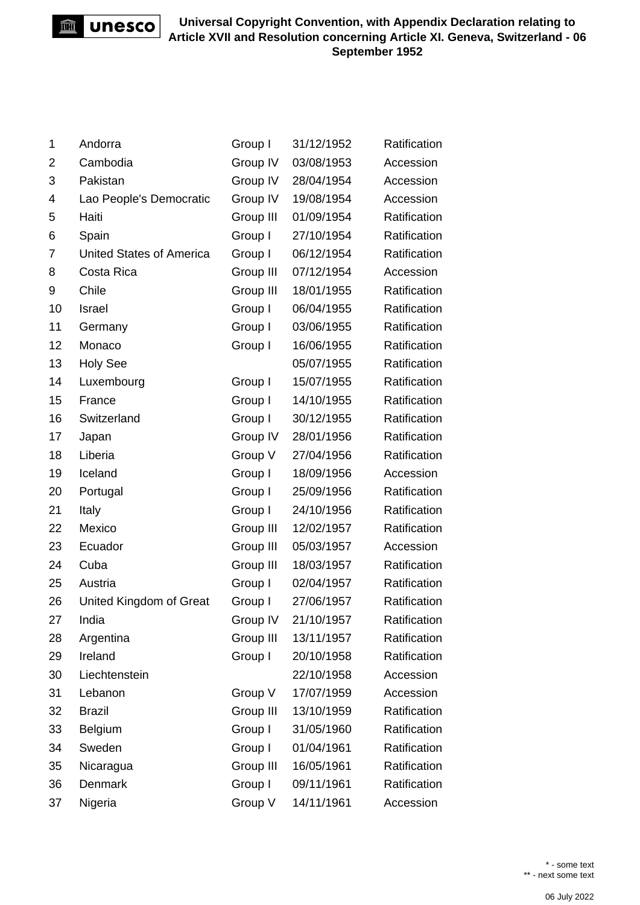

| 1              | Andorra                         | Group I   | 31/12/1952 | Ratification |
|----------------|---------------------------------|-----------|------------|--------------|
| 2              | Cambodia                        | Group IV  | 03/08/1953 | Accession    |
| 3              | Pakistan                        | Group IV  | 28/04/1954 | Accession    |
| 4              | Lao People's Democratic         | Group IV  | 19/08/1954 | Accession    |
| 5              | Haiti                           | Group III | 01/09/1954 | Ratification |
| 6              | Spain                           | Group I   | 27/10/1954 | Ratification |
| $\overline{7}$ | <b>United States of America</b> | Group I   | 06/12/1954 | Ratification |
| 8              | Costa Rica                      | Group III | 07/12/1954 | Accession    |
| 9              | Chile                           | Group III | 18/01/1955 | Ratification |
| 10             | Israel                          | Group I   | 06/04/1955 | Ratification |
| 11             | Germany                         | Group I   | 03/06/1955 | Ratification |
| 12             | Monaco                          | Group I   | 16/06/1955 | Ratification |
| 13             | <b>Holy See</b>                 |           | 05/07/1955 | Ratification |
| 14             | Luxembourg                      | Group I   | 15/07/1955 | Ratification |
| 15             | France                          | Group I   | 14/10/1955 | Ratification |
| 16             | Switzerland                     | Group I   | 30/12/1955 | Ratification |
| 17             | Japan                           | Group IV  | 28/01/1956 | Ratification |
| 18             | Liberia                         | Group V   | 27/04/1956 | Ratification |
| 19             | Iceland                         | Group I   | 18/09/1956 | Accession    |
| 20             | Portugal                        | Group I   | 25/09/1956 | Ratification |
| 21             | Italy                           | Group I   | 24/10/1956 | Ratification |
| 22             | Mexico                          | Group III | 12/02/1957 | Ratification |
| 23             | Ecuador                         | Group III | 05/03/1957 | Accession    |
| 24             | Cuba                            | Group III | 18/03/1957 | Ratification |
| 25             | Austria                         | Group I   | 02/04/1957 | Ratification |
| 26             | United Kingdom of Great         | Group I   | 27/06/1957 | Ratification |
| 27             | India                           | Group IV  | 21/10/1957 | Ratification |
| 28             | Argentina                       | Group III | 13/11/1957 | Ratification |
| 29             | Ireland                         | Group I   | 20/10/1958 | Ratification |
| 30             | Liechtenstein                   |           | 22/10/1958 | Accession    |
| 31             | Lebanon                         | Group V   | 17/07/1959 | Accession    |
| 32             | <b>Brazil</b>                   | Group III | 13/10/1959 | Ratification |
| 33             | Belgium                         | Group I   | 31/05/1960 | Ratification |
| 34             | Sweden                          | Group I   | 01/04/1961 | Ratification |
| 35             | Nicaragua                       | Group III | 16/05/1961 | Ratification |
| 36             | Denmark                         | Group I   | 09/11/1961 | Ratification |
| 37             | Nigeria                         | Group V   | 14/11/1961 | Accession    |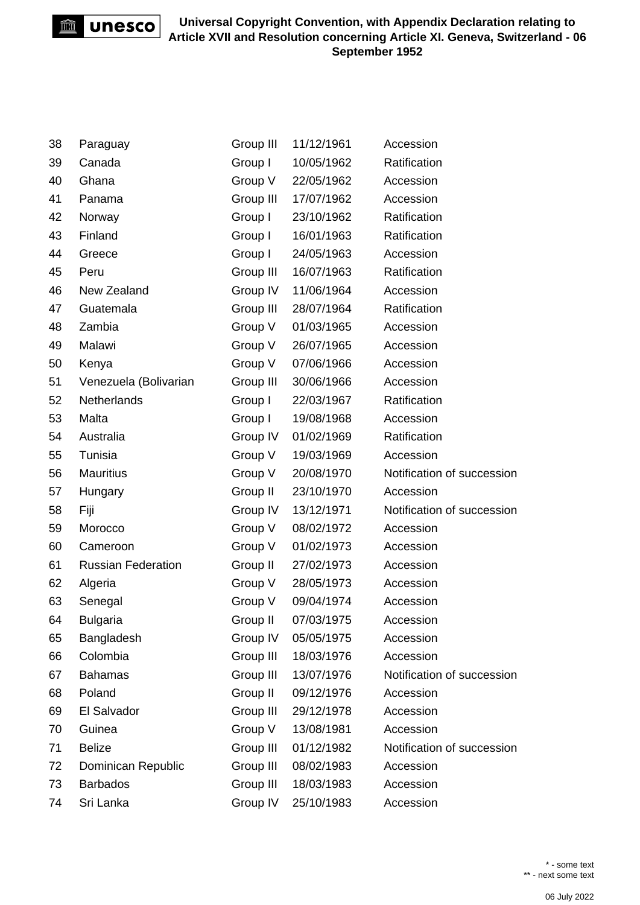unesco m

| 38 | Paraguay                  | Group III | 11/12/1961 | Accession                  |
|----|---------------------------|-----------|------------|----------------------------|
| 39 | Canada                    | Group I   | 10/05/1962 | Ratification               |
| 40 | Ghana                     | Group V   | 22/05/1962 | Accession                  |
| 41 | Panama                    | Group III | 17/07/1962 | Accession                  |
| 42 | Norway                    | Group I   | 23/10/1962 | Ratification               |
| 43 | Finland                   | Group I   | 16/01/1963 | Ratification               |
| 44 | Greece                    | Group I   | 24/05/1963 | Accession                  |
| 45 | Peru                      | Group III | 16/07/1963 | Ratification               |
| 46 | New Zealand               | Group IV  | 11/06/1964 | Accession                  |
| 47 | Guatemala                 | Group III | 28/07/1964 | Ratification               |
| 48 | Zambia                    | Group V   | 01/03/1965 | Accession                  |
| 49 | Malawi                    | Group V   | 26/07/1965 | Accession                  |
| 50 | Kenya                     | Group V   | 07/06/1966 | Accession                  |
| 51 | Venezuela (Bolivarian     | Group III | 30/06/1966 | Accession                  |
| 52 | <b>Netherlands</b>        | Group I   | 22/03/1967 | Ratification               |
| 53 | Malta                     | Group I   | 19/08/1968 | Accession                  |
| 54 | Australia                 | Group IV  | 01/02/1969 | Ratification               |
| 55 | Tunisia                   | Group V   | 19/03/1969 | Accession                  |
| 56 | <b>Mauritius</b>          | Group V   | 20/08/1970 | Notification of succession |
| 57 | Hungary                   | Group II  | 23/10/1970 | Accession                  |
| 58 | Fiji                      | Group IV  | 13/12/1971 | Notification of succession |
| 59 | Morocco                   | Group V   | 08/02/1972 | Accession                  |
| 60 | Cameroon                  | Group V   | 01/02/1973 | Accession                  |
| 61 | <b>Russian Federation</b> | Group II  | 27/02/1973 | Accession                  |
| 62 | Algeria                   | Group V   | 28/05/1973 | Accession                  |
| 63 | Senegal                   | Group V   | 09/04/1974 | Accession                  |
| 64 | <b>Bulgaria</b>           | Group II  | 07/03/1975 | Accession                  |
| 65 | Bangladesh                | Group IV  | 05/05/1975 | Accession                  |
| 66 | Colombia                  | Group III | 18/03/1976 | Accession                  |
| 67 | <b>Bahamas</b>            | Group III | 13/07/1976 | Notification of succession |
| 68 | Poland                    | Group II  | 09/12/1976 | Accession                  |
| 69 | El Salvador               | Group III | 29/12/1978 | Accession                  |
| 70 | Guinea                    | Group V   | 13/08/1981 | Accession                  |
| 71 | <b>Belize</b>             | Group III | 01/12/1982 | Notification of succession |
| 72 | Dominican Republic        | Group III | 08/02/1983 | Accession                  |
| 73 | <b>Barbados</b>           | Group III | 18/03/1983 | Accession                  |
| 74 | Sri Lanka                 | Group IV  | 25/10/1983 | Accession                  |

\* - some text \*\* - next some text